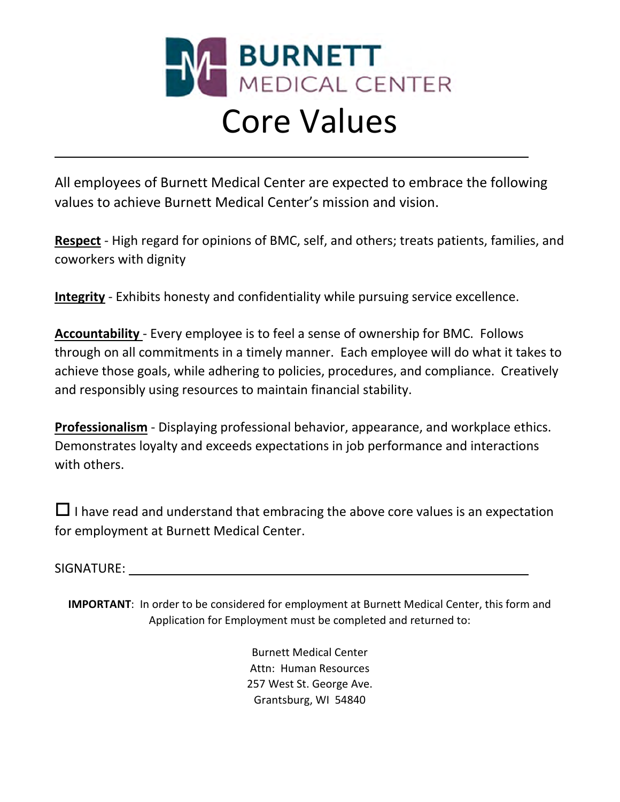

## Core Values

All employees of Burnett Medical Center are expected to embrace the following values to achieve Burnett Medical Center's mission and vision.

Respect - High regard for opinions of BMC, self, and others; treats patients, families, and coworkers with dignity

Integrity - Exhibits honesty and confidentiality while pursuing service excellence.

Accountability - Every employee is to feel a sense of ownership for BMC. Follows through on all commitments in a timely manner. Each employee will do what it takes to achieve those goals, while adhering to policies, procedures, and compliance. Creatively and responsibly using resources to maintain financial stability.

**Professionalism** - Displaying professional behavior, appearance, and workplace ethics. Demonstrates loyalty and exceeds expectations in job performance and interactions with others.

 $\Box$  I have read and understand that embracing the above core values is an expectation for employment at Burnett Medical Center.

SIGNATURE:

 $\overline{a}$ 

IMPORTANT: In order to be considered for employment at Burnett Medical Center, this form and Application for Employment must be completed and returned to:

> Burnett Medical Center Attn: Human Resources 257 West St. George Ave. Grantsburg, WI 54840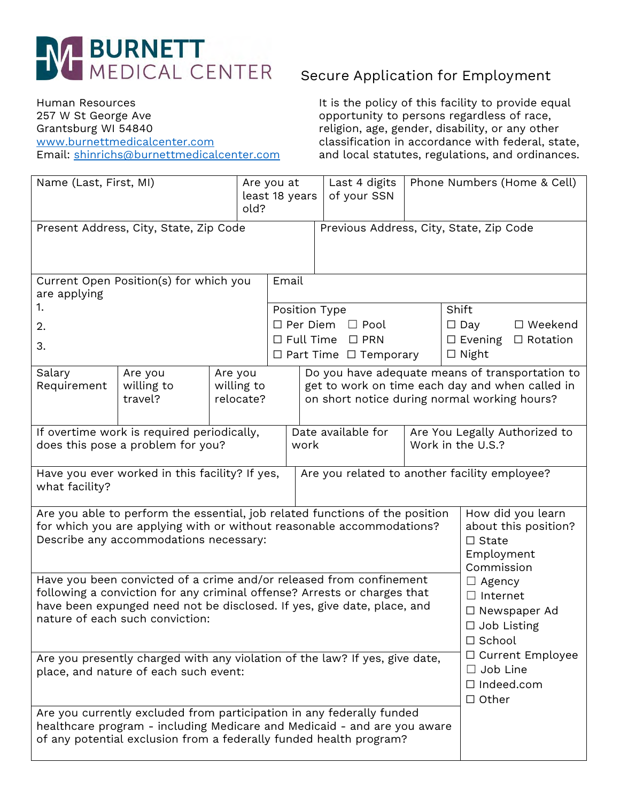

Human Resources 257 W St George Ave Grantsburg WI 54840 [www.burnettmedicalcenter.com](http://www.burnettmedicalcenter.com/) Email: [shinrichs@burnettmedicalcenter.com](mailto:shinrichs@burnettmedicalcenter.com)

## Secure Application for Employment

It is the policy of this facility to provide equal opportunity to persons regardless of race, religion, age, gender, disability, or any other classification in accordance with federal, state, and local statutes, regulations, and ordinances.

| Name (Last, First, MI)                                                                                                                                                                                                                                        |                                                                                                                                                                                                                              |      | Are you at<br>least 18 years<br>old? |                                                                                                                                 | Last 4 digits<br>of your SSN                                               | Phone Numbers (Home & Cell)                                                               |                                                                                       |  |
|---------------------------------------------------------------------------------------------------------------------------------------------------------------------------------------------------------------------------------------------------------------|------------------------------------------------------------------------------------------------------------------------------------------------------------------------------------------------------------------------------|------|--------------------------------------|---------------------------------------------------------------------------------------------------------------------------------|----------------------------------------------------------------------------|-------------------------------------------------------------------------------------------|---------------------------------------------------------------------------------------|--|
| Present Address, City, State, Zip Code                                                                                                                                                                                                                        |                                                                                                                                                                                                                              |      |                                      |                                                                                                                                 | Previous Address, City, State, Zip Code                                    |                                                                                           |                                                                                       |  |
| Current Open Position(s) for which you<br>are applying<br>1.<br>2.<br>3.                                                                                                                                                                                      |                                                                                                                                                                                                                              |      |                                      | Email<br>Position Type<br>$\Box$ Per Diem $\Box$ Pool<br>$\Box$ Full Time<br>$\square$ PRN<br>$\Box$ Part Time $\Box$ Temporary |                                                                            |                                                                                           | Shift<br>$\Box$ Day<br>□ Weekend<br>$\Box$ Evening<br>$\Box$ Rotation<br>$\Box$ Night |  |
| Salary<br>Requirement                                                                                                                                                                                                                                         | Do you have adequate means of transportation to<br>Are you<br>Are you<br>get to work on time each day and when called in<br>willing to<br>willing to<br>travel?<br>on short notice during normal working hours?<br>relocate? |      |                                      |                                                                                                                                 |                                                                            |                                                                                           |                                                                                       |  |
| If overtime work is required periodically,<br>does this pose a problem for you?                                                                                                                                                                               |                                                                                                                                                                                                                              | work | Date available for                   |                                                                                                                                 | Are You Legally Authorized to<br>Work in the U.S.?                         |                                                                                           |                                                                                       |  |
| Have you ever worked in this facility? If yes,<br>Are you related to another facility employee?<br>what facility?                                                                                                                                             |                                                                                                                                                                                                                              |      |                                      |                                                                                                                                 |                                                                            |                                                                                           |                                                                                       |  |
| Are you able to perform the essential, job related functions of the position<br>for which you are applying with or without reasonable accommodations?<br>Describe any accommodations necessary:                                                               |                                                                                                                                                                                                                              |      |                                      |                                                                                                                                 |                                                                            | How did you learn<br>about this position?<br>$\Box$ State<br>Employment<br>Commission     |                                                                                       |  |
| Have you been convicted of a crime and/or released from confinement<br>following a conviction for any criminal offense? Arrests or charges that<br>have been expunged need not be disclosed. If yes, give date, place, and<br>nature of each such conviction: |                                                                                                                                                                                                                              |      |                                      |                                                                                                                                 |                                                                            | $\Box$ Agency<br>$\Box$ Internet<br>□ Newspaper Ad<br>$\Box$ Job Listing<br>$\Box$ School |                                                                                       |  |
| Are you presently charged with any violation of the law? If yes, give date,<br>place, and nature of each such event:                                                                                                                                          |                                                                                                                                                                                                                              |      |                                      |                                                                                                                                 | □ Current Employee<br>$\Box$ Job Line<br>$\Box$ Indeed.com<br>$\Box$ Other |                                                                                           |                                                                                       |  |
| Are you currently excluded from participation in any federally funded<br>healthcare program - including Medicare and Medicaid - and are you aware<br>of any potential exclusion from a federally funded health program?                                       |                                                                                                                                                                                                                              |      |                                      |                                                                                                                                 |                                                                            |                                                                                           |                                                                                       |  |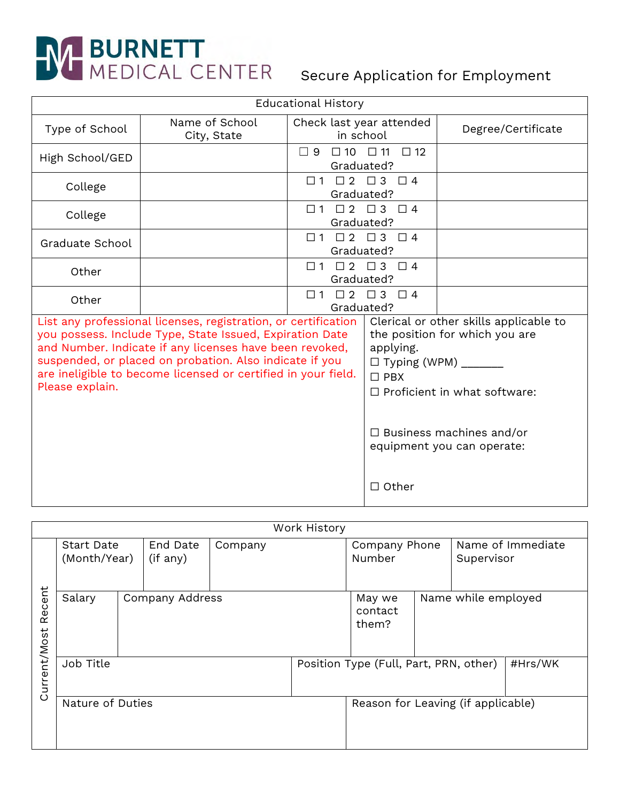# **SURNETT**<br>MEDICAL CENTER Secure Application for Employment

|                 | <b>Educational History</b>                                                                                                                                                                                                                                                                                        |                                                               |                                                                                  |                                                                                                                                                                                  |
|-----------------|-------------------------------------------------------------------------------------------------------------------------------------------------------------------------------------------------------------------------------------------------------------------------------------------------------------------|---------------------------------------------------------------|----------------------------------------------------------------------------------|----------------------------------------------------------------------------------------------------------------------------------------------------------------------------------|
| Type of School  | Name of School<br>City, State                                                                                                                                                                                                                                                                                     | Check last year attended<br>in school                         |                                                                                  | Degree/Certificate                                                                                                                                                               |
| High School/GED |                                                                                                                                                                                                                                                                                                                   | $\Box$ 9<br>Graduated?                                        | $\Box 10 \quad \Box 11 \quad \Box 12$                                            |                                                                                                                                                                                  |
| College         |                                                                                                                                                                                                                                                                                                                   | $\Box 1 \quad \Box 2 \quad \Box 3 \quad \Box 4$<br>Graduated? |                                                                                  |                                                                                                                                                                                  |
| College         |                                                                                                                                                                                                                                                                                                                   | $\Box$ 1<br>Graduated?                                        | $\begin{array}{ccccccccc}\n\square & 2 & \square & 3 & \square & 4\n\end{array}$ |                                                                                                                                                                                  |
| Graduate School |                                                                                                                                                                                                                                                                                                                   | $\Box$ 1<br>Graduated?                                        | $\begin{array}{cccc}\n\Box 2 & \Box 3 & \Box 4\n\end{array}$                     |                                                                                                                                                                                  |
| Other           |                                                                                                                                                                                                                                                                                                                   | $\Box 1 \quad \Box 2 \quad \Box 3 \quad \Box 4$<br>Graduated? |                                                                                  |                                                                                                                                                                                  |
| Other           | $\begin{array}{cccc}\n\Box 2 & \Box 3 & \Box 4\n\end{array}$<br>$\square$ 1<br>Graduated?                                                                                                                                                                                                                         |                                                               |                                                                                  |                                                                                                                                                                                  |
| Please explain. | List any professional licenses, registration, or certification<br>you possess. Include Type, State Issued, Expiration Date<br>and Number. Indicate if any licenses have been revoked,<br>suspended, or placed on probation. Also indicate if you<br>are ineligible to become licensed or certified in your field. |                                                               | applying.<br>$\Box$ Typing (WPM) $\_\_\_\_\_\_\_\_\_\_\_\$<br>$\Box$ PBX         | Clerical or other skills applicable to<br>the position for which you are<br>$\Box$ Proficient in what software:<br>$\Box$ Business machines and/or<br>equipment you can operate: |
|                 |                                                                                                                                                                                                                                                                                                                   |                                                               | $\Box$ Other                                                                     |                                                                                                                                                                                  |

|                  | Work History                      |  |                      |                                    |  |                                        |  |                                 |         |  |
|------------------|-----------------------------------|--|----------------------|------------------------------------|--|----------------------------------------|--|---------------------------------|---------|--|
|                  | <b>Start Date</b><br>(Month/Year) |  | End Date<br>(if any) | Company                            |  | Company Phone<br>Number                |  | Name of Immediate<br>Supervisor |         |  |
| Recent           | Salary                            |  | Company Address      |                                    |  | May we<br>contact<br>them?             |  | Name while employed             |         |  |
| Current/Most     | Job Title                         |  |                      |                                    |  | Position Type (Full, Part, PRN, other) |  |                                 | #Hrs/WK |  |
| Nature of Duties |                                   |  |                      | Reason for Leaving (if applicable) |  |                                        |  |                                 |         |  |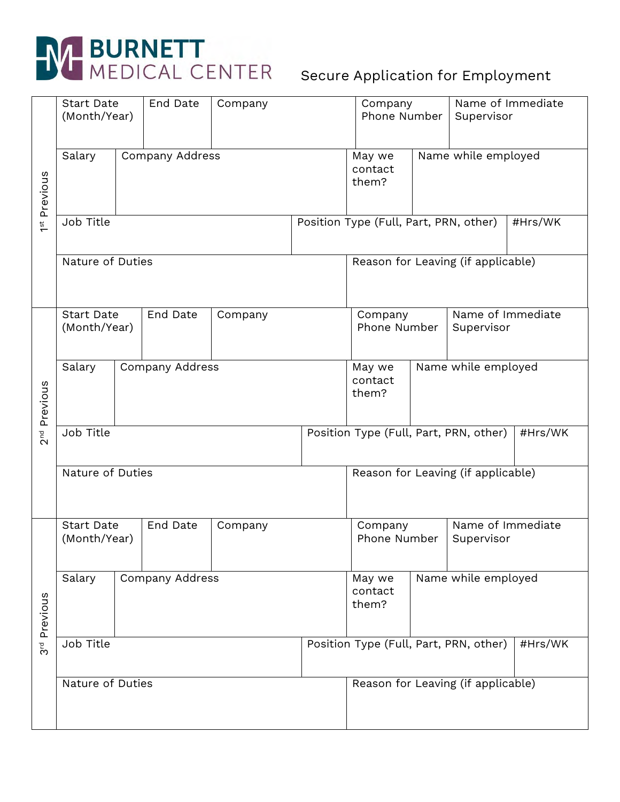

|                             | <b>Start Date</b>                 | End Date<br>Company<br>(Month/Year) |          |                                                   |                                                   | Name of Immediate<br>Company<br>Phone Number<br>Supervisor |  |                                 |  |
|-----------------------------|-----------------------------------|-------------------------------------|----------|---------------------------------------------------|---------------------------------------------------|------------------------------------------------------------|--|---------------------------------|--|
| 1 <sup>st</sup> Previous    | Salary                            | <b>Company Address</b>              |          |                                                   | May we<br>contact<br>them?                        | Name while employed                                        |  |                                 |  |
|                             | Job Title                         |                                     |          |                                                   |                                                   | Position Type (Full, Part, PRN, other)<br>#Hrs/WK          |  |                                 |  |
|                             | Nature of Duties                  |                                     |          |                                                   |                                                   | Reason for Leaving (if applicable)                         |  |                                 |  |
|                             | <b>Start Date</b><br>(Month/Year) |                                     | End Date | Company                                           |                                                   | Company<br>Phone Number                                    |  | Name of Immediate<br>Supervisor |  |
| 2 <sup>nd</sup> Previous    | Salary                            | <b>Company Address</b>              |          |                                                   | Name while employed<br>May we<br>contact<br>them? |                                                            |  |                                 |  |
|                             | Job Title                         |                                     |          |                                                   |                                                   | Position Type (Full, Part, PRN, other)<br>#Hrs/WK          |  |                                 |  |
|                             | Nature of Duties                  |                                     |          |                                                   |                                                   | Reason for Leaving (if applicable)                         |  |                                 |  |
|                             | <b>Start Date</b><br>(Month/Year) |                                     | End Date | Company                                           |                                                   | Company<br>Phone Number                                    |  | Name of Immediate<br>Supervisor |  |
| Previous<br>უ $\frac{1}{3}$ | Company Address<br>Salary         |                                     |          | Name while employed<br>May we<br>contact<br>them? |                                                   |                                                            |  |                                 |  |
|                             | Job Title                         |                                     |          |                                                   |                                                   | Position Type (Full, Part, PRN, other)<br>#Hrs/WK          |  |                                 |  |
|                             | Nature of Duties                  |                                     |          |                                                   | Reason for Leaving (if applicable)                |                                                            |  |                                 |  |